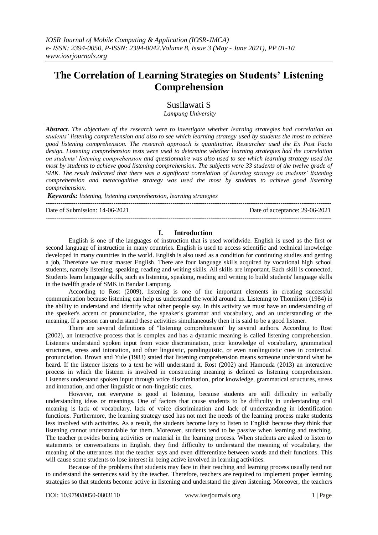# **The Correlation of Learning Strategies on Students' Listening Comprehension**

Susilawati S

*Lampung University* 

*Abstract. The objectives of the research were to investigate whether learning strategies had correlation on students' listening comprehension and also to see which learning strategy used by students the most to achieve good listening comprehension. The research approach is quantitative. Researcher used the Ex Post Facto design. Listening comprehension tests were used to determine whether learning strategies had the correlation on students' listening comprehension and questionnaire was also used to see which learning strategy used the most by students to achieve good listening comprehension. The subjects were 33 students of the twelve grade of SMK. The result indicated that there was a significant correlation of learning strategy on students' listening comprehension and metacognitive strategy was used the most by students to achieve good listening comprehension.*

*Keywords: listening, listening comprehension, learning strategies* 

---------------------------------------------------------------------------------------------------------------------------------------

Date of Submission: 14-06-2021 Date of acceptance: 29-06-2021 ---------------------------------------------------------------------------------------------------------------------------------------

#### **I. Introduction**

English is one of the languages of instruction that is used worldwide. English is used as the first or second language of instruction in many countries. English is used to access scientific and technical knowledge developed in many countries in the world. English is also used as a condition for continuing studies and getting a job, Therefore we must master English. There are four language skills acquired by vocational high school students, namely listening, speaking, reading and writing skills. All skills are important. Each skill is connected. Students learn language skills, such as listening, speaking, reading and writing to build students' language skills in the twelfth grade of SMK in Bandar Lampung.

According to Rost (2009), listening is one of the important elements in creating successful communication because listening can help us understand the world around us. Listening to Thomlison (1984) is the ability to understand and identify what other people say. In this activity we must have an understanding of the speaker's accent or pronunciation, the speaker's grammar and vocabulary, and an understanding of the meaning. If a person can understand these activities simultaneously then it is said to be a good listener.

There are several definitions of "listening comprehension" by several authors. According to Rost (2002), an interactive process that is complex and has a dynamic meaning is called listening comprehension. Listeners understand spoken input from voice discrimination, prior knowledge of vocabulary, grammatical structures, stress and intonation, and other linguistic, paralinguistic, or even nonlinguistic cues in contextual pronunciation. Brown and Yule (1983) stated that listening comprehension means someone understand what he heard. If the listener listens to a text he will understand it. Rost (2002) and Hamouda (2013) an interactive process in which the listener is involved in constructing meaning is defined as listening comprehension. Listeners understand spoken input through voice discrimination, prior knowledge, grammatical structures, stress and intonation, and other linguistic or non-linguistic cues.

However, not everyone is good at listening, because students are still difficulty in verbally understanding ideas or meanings. One of factors that cause students to be difficulty in understanding oral meaning is lack of vocabulary, lack of voice discrimination and lack of understanding in identification functions. Furthermore, the learning strategy used has not met the needs of the learning process make students less involved with activities. As a result, the students become lazy to listen to English because they think that listening cannot understandable for them. Moreover, students tend to be passive when learning and teaching. The teacher provides boring activities or material in the learning process. When students are asked to listen to statements or conversations in English, they find difficulty to understand the meaning of vocabulary, the meaning of the utterances that the teacher says and even differentiate between words and their functions. This will cause some students to lose interest in being active involved in learning activities.

Because of the problems that students may face in their teaching and learning process usually tend not to understand the sentences said by the teacher. Therefore, teachers are required to implement proper learning strategies so that students become active in listening and understand the given listening. Moreover, the teachers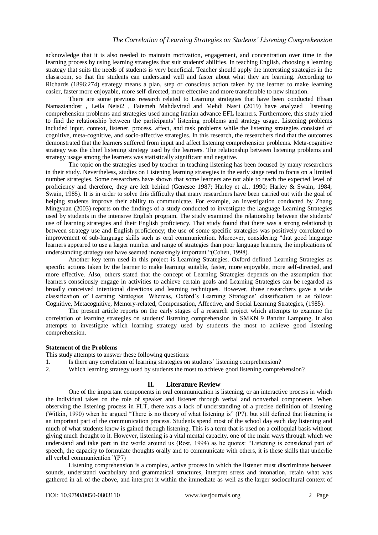acknowledge that it is also needed to maintain motivation, engagement, and concentration over time in the learning process by using learning strategies that suit students' abilities. In teaching English, choosing a learning strategy that suits the needs of students is very beneficial. Teacher should apply the interesting strategies in the classroom, so that the students can understand well and faster about what they are learning. According to Richards (1896:274) strategy means a plan, step or conscious action taken by the learner to make learning easier, faster more enjoyable, more self-directed, more effective and more transferable to new situation.

There are some previous research related to Learning strategies that have been conducted Ehsan Namaziandost , Leila Neisi2 , Fatemeh Mahdavirad and Mehdi Nasri (2019) have analyzed listening comprehension problems and strategies used among Iranian advance EFL learners. Furthermore, this study tried to find the relationship between the participants' listening problems and strategy usage. Listening problems included input, context, listener, process, affect, and task problems while the listening strategies consisted of cognitive, meta-cognitive, and socio-affective strategies. In this research, the researchers find that the outcomes demonstrated that the learners suffered from input and affect listening comprehension problems. Meta-cognitive strategy was the chief listening strategy used by the learners. The relationship between listening problems and strategy usage among the learners was statistically significant and negative.

The topic on the strategies used by teacher in teaching listening has been focused by many researchers in their study. Nevertheless, studies on Listening learning strategies in the early stage tend to focus on a limited number strategies. Some researchers have shown that some learners are not able to reach the expected level of proficiency and therefore, they are left behind (Genesee 1987; Harley et al., 1990; Harley & Swain, 1984; Swain, 1985). It is in order to solve this difficulty that many researchers have been carried out with the goal of helping students improve their ability to communicate. For example, an investigation conducted by Zhang Mingyuan (2003) reports on the findings of a study conducted to investigate the language Learning Strategies used by students in the intensive English program. The study examined the relationship between the students' use of learning strategies and their English proficiency. That study found that there was a strong relationship between strategy use and English proficiency; the use of some specific strategies was positively correlated to improvement of sub-language skills such as oral communication. Moreover, considering "that good language learners appeared to use a larger number and range of strategies than poor language learners, the implications of understanding strategy use have seemed increasingly important "(Cohen, 1998).

Another key term used in this project is Learning Strategies. Oxford defined Learning Strategies as specific actions taken by the learner to make learning suitable, faster, more enjoyable, more self-directed, and more effective. Also, others stated that the concept of Learning Strategies depends on the assumption that learners consciously engage in activities to achieve certain goals and Learning Strategies can be regarded as broadly conceived intentional directions and learning techniques. However, those researchers gave a wide classification of Learning Strategies. Whereas, Oxford's Learning Strategies' classification is as follow: Cognitive, Metacognitive, Memory-related, Compensation, Affective, and Social Learning Strategies, (1985).

The present article reports on the early stages of a research project which attempts to examine the correlation of learning strategies on students' listening comprehension in SMKN 9 Bandar Lampung. It also attempts to investigate which learning strategy used by students the most to achieve good listening comprehension.

#### **Statement of the Problems**

This study attempts to answer these following questions:

- 1. Is there any correlation of learning strategies on students' listening comprehension?
- 2. Which learning strategy used by students the most to achieve good listening comprehension?

## **II. Literature Review**

One of the important components in oral communication is listening, or an interactive process in which the individual takes on the role of speaker and listener through verbal and nonverbal components. When observing the listening process in FLT, there was a lack of understanding of a precise definition of listening (Witkin, 1990) when he argued "There is no theory of what listening is" (P7). but still defined that listening is an important part of the communication process. Students spend most of the school day each day listening and much of what students know is gained through listening. This is a term that is used on a colloquial basis without giving much thought to it. However, listening is a vital mental capacity, one of the main ways through which we understand and take part in the world around us (Rost, 1994) as he quotes: "Listening is considered part of speech, the capacity to formulate thoughts orally and to communicate with others, it is these skills that underlie all verbal communication "(P7)

Listening comprehension is a complex, active process in which the listener must discriminate between sounds, understand vocabulary and grammatical structures, interpret stress and intonation, retain what was gathered in all of the above, and interpret it within the immediate as well as the larger sociocultural context of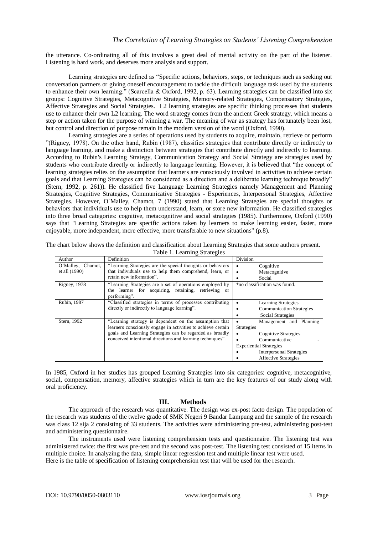the utterance. Co-ordinating all of this involves a great deal of mental activity on the part of the listener. Listening is hard work, and deserves more analysis and support.

Learning strategies are defined as "Specific actions, behaviors, steps, or techniques such as seeking out conversation partners or giving oneself encouragement to tackle the difficult language task used by the students to enhance their own learning." (Scarcella & Oxford, 1992, p. 63). Learning strategies can be classified into six groups: Cognitive Strategies, Metacognitive Strategies, Memory-related Strategies, Compensatory Strategies, Affective Strategies and Social Strategies. L2 learning strategies are specific thinking processes that students use to enhance their own L2 learning. The word strategy comes from the ancient Greek strategy, which means a step or action taken for the purpose of winning a war. The meaning of war as strategy has fortunately been lost, but control and direction of purpose remain in the modern version of the word (Oxford, 1990).

Learning strategies are a series of operations used by students to acquire, maintain, retrieve or perform "(Rigney, 1978). On the other hand, Rubin (1987), classifies strategies that contribute directly or indirectly to language learning. and make a distinction between strategies that contribute directly and indirectly to learning. According to Rubin's Learning Strategy, Communication Strategy and Social Strategy are strategies used by students who contribute directly or indirectly to language learning. However, it is believed that "the concept of learning strategies relies on the assumption that learners are consciously involved in activities to achieve certain goals and that Learning Strategies can be considered as a direction and a deliberate learning technique broadly" (Stern, 1992, p. 261)). He classified five Language Learning Strategies namely Management and Planning Strategies, Cognitive Strategies, Communicative Strategies - Experiences, Interpersonal Strategies, Affective Strategies. However, O´Malley, Chamot, 7 (1990) stated that Learning Strategies are special thoughts or behaviors that individuals use to help them understand, learn, or store new information. He classified strategies into three broad categories: cognitive, metacognitive and social strategies (1985). Furthermore, Oxford (1990) says that "Learning Strategies are specific actions taken by learners to make learning easier, faster, more enjoyable, more independent, more effective, more transferable to new situations" (p.8).

| Author               | Definition                                                   | Division                        |
|----------------------|--------------------------------------------------------------|---------------------------------|
| O'Malley,<br>Chamot, | "Learning Strategies are the special thoughts or behaviors"  | Cognitive                       |
| et all (1990)        | that individuals use to help them comprehend, learn, or      | Metacognitive                   |
|                      | retain new information".                                     | Social                          |
| Rigney, 1978         | "Learning Strategies are a set of operations employed by     | *no classification was found.   |
|                      | the learner for acquiring, retaining, retrieving or          |                                 |
|                      | performing".                                                 |                                 |
| Rubin, 1987          | "Classified strategies in terms of processes contributing    | <b>Learning Strategies</b>      |
|                      | directly or indirectly to language learning".                | <b>Communication Strategies</b> |
|                      |                                                              | Social Strategies               |
| Stern, 1992          | "Learning strategy is dependent on the assumption that       | Management and Planning         |
|                      | learners consciously engage in activities to achieve certain | <b>Strategies</b>               |
|                      | goals and Learning Strategies can be regarded as broadly     | Cognitive Strategies            |
|                      | conceived intentional directions and learning techniques".   | Communicative                   |
|                      |                                                              | <b>Experiential Strategies</b>  |
|                      |                                                              | <b>Interpersonal Strategies</b> |
|                      |                                                              | <b>Affective Strategies</b>     |

The chart below shows the definition and classification about Learning Strategies that some authors present. Table 1. Learning Strategies

In 1985, Oxford in her studies has grouped Learning Strategies into six categories: cognitive, metacognitive, social, compensation, memory, affective strategies which in turn are the key features of our study along with oral proficiency.

## **III. Methods**

The approach of the research was quantitative. The design was ex-post facto design. The population of the research was students of the twelve grade of SMK Negeri 9 Bandar Lampung and the sample of the research was class 12 sija 2 consisting of 33 students. The activities were administering pre-test, administering post-test and administering questionnaire.

The instruments used were listening comprehension tests and questionnaire. The listening test was administered twice: the first was pre-test and the second was post-test. The listening test consisted of 15 items in multiple choice. In analyzing the data, simple linear regression test and multiple linear test were used. Here is the table of specification of listening comprehension test that will be used for the research.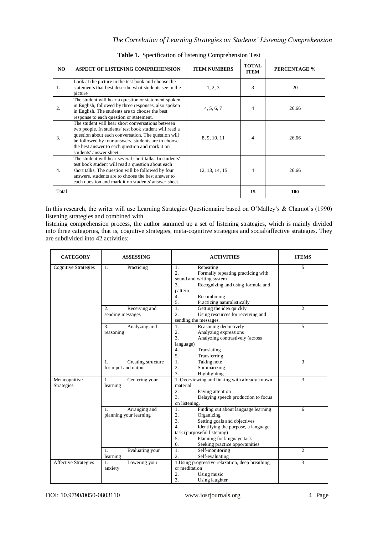|       | $\mathbf{u}$ and $\mathbf{v}$ becomparison of insteading comprehension $\mathbf{v}$ cont                                                                                                                                                                                                                |                     |                             |              |
|-------|---------------------------------------------------------------------------------------------------------------------------------------------------------------------------------------------------------------------------------------------------------------------------------------------------------|---------------------|-----------------------------|--------------|
| NO.   | <b>ASPECT OF LISTENING COMPREHENSION</b>                                                                                                                                                                                                                                                                | <b>ITEM NUMBERS</b> | <b>TOTAL</b><br><b>ITEM</b> | PERCENTAGE % |
| 1.    | Look at the picture in the test book and choose the<br>statements that best describe what students see in the<br>picture                                                                                                                                                                                | 1, 2, 3             | 3                           | 20           |
| 2.    | The student will hear a question or statement spoken<br>in English, followed by three responses, also spoken<br>in English. The students are to choose the best<br>response to each question or statement.                                                                                              | 4, 5, 6, 7          | 4                           | 26.66        |
| 3.    | The student will hear short conversations between<br>two people. In students' test book student will read a<br>question about each conversation. The question will<br>be followed by four answers. students are to choose<br>the best answer to each question and mark it on<br>students' answer sheet. | 8, 9, 10, 11        | 4                           | 26.66        |
| 4.    | The student will hear several short talks. In students'<br>test book student will read a question about each<br>short talks. The question will be followed by four<br>answers, students are to choose the best answer to<br>each question and mark it on students' answer sheet.                        | 12, 13, 14, 15      | 4                           | 26.66        |
| Total |                                                                                                                                                                                                                                                                                                         |                     | 15                          | 100          |

**Table 1.** Specification of listening Comprehension Test

In this research, the writer will use Learning Strategies Questionnaire based on O'Malley's & Chamot's (1990) listening strategies and combined with

listening comprehension process, the author summed up a set of listening strategies, which is mainly divided into three categories, that is, cognitive strategies, meta-cognitive strategies and social/affective strategies. They are subdivided into 42 activities:

| <b>CATEGORY</b>                    | <b>ASSESSING</b>                                                       | <b>ACTIVITIES</b>                                                                                                                                                                                                                                                                                              | <b>ITEMS</b>        |
|------------------------------------|------------------------------------------------------------------------|----------------------------------------------------------------------------------------------------------------------------------------------------------------------------------------------------------------------------------------------------------------------------------------------------------------|---------------------|
| <b>Cognitive Strategies</b>        | Practicing<br>1.                                                       | 1.<br>Repeating<br>Formally repeating practicing with<br>$\overline{2}$ .<br>sound and writing system<br>Recognizing and using formula and<br>3.                                                                                                                                                               | 5                   |
|                                    |                                                                        | pattern<br>4.<br>Recombining<br>5.<br>Practicing naturalistically                                                                                                                                                                                                                                              |                     |
|                                    | $\overline{2}$ .<br>Receiving and<br>sending messages                  | $\mathbf{1}$ .<br>Getting the idea quickly<br>$\overline{2}$ .<br>Using resources for receiving and<br>sending the messages.                                                                                                                                                                                   | $\overline{c}$      |
|                                    | 3.<br>Analyzing and<br>reasoning                                       | Reasoning deductively<br>1.<br>$\overline{2}$ .<br>Analyzing expressions<br>Analyzing contrastively (across<br>3.<br>language)<br>4.<br>Translating<br>5.<br>Transferring                                                                                                                                      | 5                   |
|                                    | Creating structure<br>1.<br>for input and output                       | Taking note<br>1.<br>2.<br>Summarizing<br>3.<br>Highlighting                                                                                                                                                                                                                                                   | 3                   |
| Metacognitive<br><b>Strategies</b> | 1.<br>Centering your<br>learning                                       | 1. Overviewing and linking with already known<br>material<br>2.<br>Paying attention<br>Delaying speech production to focus<br>3.<br>on listening.                                                                                                                                                              | 3                   |
|                                    | Arranging and<br>1.<br>planning your learning<br>Evaluating your<br>1. | Finding out about language learning<br>1.<br>Organizing<br>2.<br>3.<br>Setting goals and objectives<br>Identifying the purpose, a language<br>$\overline{4}$ .<br>task (purposeful listening)<br>Planning for language task<br>5 <sub>1</sub><br>Seeking practice opportunities<br>6.<br>Self-monitoring<br>1. | 6<br>$\overline{c}$ |
|                                    | learning                                                               | 2.<br>Self-evaluating                                                                                                                                                                                                                                                                                          |                     |
| <b>Affective Strategies</b>        | Lowering your<br>1.<br>anxiety                                         | 1. Using progressive relaxation, deep breathing,<br>or meditation<br>2.<br>Using music<br>3.<br>Using laughter                                                                                                                                                                                                 | 3                   |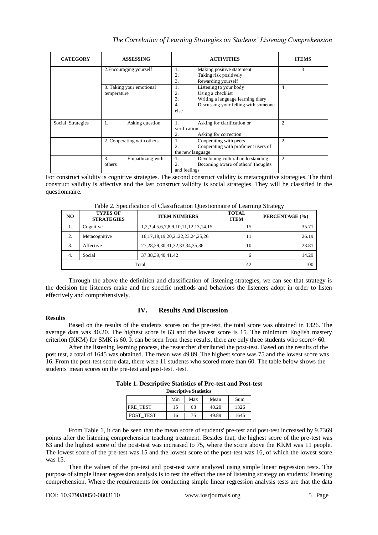| The Correlation of Learning Strategies on Students' Listening Comprehension |  |  |  |  |  |
|-----------------------------------------------------------------------------|--|--|--|--|--|
|-----------------------------------------------------------------------------|--|--|--|--|--|

| <b>CATEGORY</b>   | <b>ASSESSING</b>                        | <b>ACTIVITIES</b>                                                                                                                                        | <b>ITEMS</b>   |
|-------------------|-----------------------------------------|----------------------------------------------------------------------------------------------------------------------------------------------------------|----------------|
|                   | 2. Encouraging yourself                 | Making positive statement<br>1.<br>2.<br>Taking risk positively<br>3.<br>Rewarding yourself                                                              | 3              |
|                   | 3. Taking your emotional<br>temperature | Listening to your body<br>1.<br>Using a checklist<br>2.<br>3.<br>Writing a language learning diary<br>Discussing your felling with someone<br>4.<br>else | 4              |
| Social Strategies | $\mathbf{1}$ .<br>Asking question       | Asking for clarification or<br>1.<br>verification<br>Asking for correction<br>2.                                                                         | $\overline{c}$ |
|                   | 2. Cooperating with others              | Cooperating with peers<br>1.<br>Cooperating with proficient users of<br>2.<br>the new language                                                           | $\overline{c}$ |
|                   | 3.<br>Empathizing with<br>others        | Developing cultural understanding<br>1.<br>Becoming aware of others' thoughts<br>2.<br>and feelings                                                      | 2              |

For construct validity is cognitive strategies. The second construct validity is metacognitive strategies. The third construct validity is affective and the last construct validity is social strategies. They will be classified in the questionnaire.

| NO.   | <b>TYPES OF</b><br><b>STRATEGIES</b> | <b>ITEM NUMBERS</b>                      | <b>TOTAL</b><br><b>ITEM</b> | PERCENTAGE (%) |
|-------|--------------------------------------|------------------------------------------|-----------------------------|----------------|
| 1.    | Cognitive                            | 1,2,3,4,5,6,7,8,9,10,11,12,13,14,15      | 15                          | 35.71          |
| 2.    | Metacognitive                        | 16, 17, 18, 19, 20, 2122, 23, 24, 25, 26 | 11                          | 26.19          |
| 3.    | Affective                            | 27, 28, 29, 30, 31, 32, 33, 34, 35, 36   | 10                          | 23.81          |
| 4.    | Social                               | 37, 38, 39, 40, 41. 42                   | 6                           | 14.29          |
| Total |                                      |                                          | 42                          | 100            |

Table 2. Specification of Classification Questionnaire of Learning Strategy

Through the above the definition and classification of listening strategies, we can see that strategy is the decision the listeners make and the specific methods and behaviors the listeners adopt in order to listen effectively and comprehensively.

## **Results**

## **IV. Results And Discussion**

Based on the results of the students' scores on the pre-test, the total score was obtained in 1326. The average data was 40.20. The highest score is 63 and the lowest score is 15. The minimum English mastery criterion (KKM) for SMK is 60. It can be seen from these results, there are only three students who score> 60.

After the listening learning process, the researcher distributed the post-test. Based on the results of the post test, a total of 1645 was obtained. The mean was 49.89. The highest score was 75 and the lowest score was 16. From the post-test score data, there were 11 students who scored more than 60. The table below shows the students' mean scores on the pre-test and post-test. -test.

| <b>Descriptive Statistics</b> |    |    |       |      |  |  |
|-------------------------------|----|----|-------|------|--|--|
| Min<br>Max<br>Sum<br>Mean     |    |    |       |      |  |  |
| PRE TEST                      | 15 | 63 | 40.20 | 1326 |  |  |
| POST TEST                     | 16 | 75 | 49.89 | 1645 |  |  |

**Table 1. Descriptive Statistics of Pre-test and Post-test**

From Table 1, it can be seen that the mean score of students' pre-test and post-test increased by 9.7369 points after the listening comprehension teaching treatment. Besides that, the highest score of the pre-test was 63 and the highest score of the post-test was increased to 75, where the score above the KKM was 11 people. The lowest score of the pre-test was 15 and the lowest score of the post-test was 16, of which the lowest score was 15.

Then the values of the pre-test and post-test were analyzed using simple linear regression tests. The purpose of simple linear regression analysis is to test the effect the use of listening strategy on students' listening comprehension. Where the requirements for conducting simple linear regression analysis tests are that the data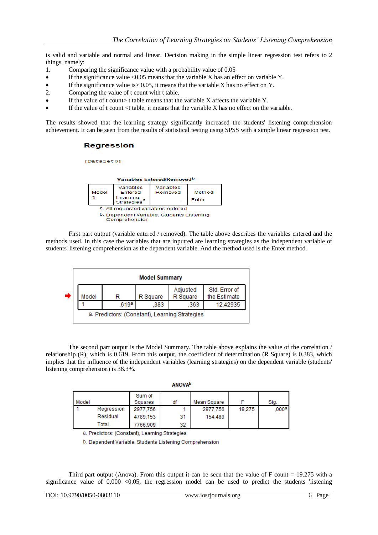is valid and variable and normal and linear. Decision making in the simple linear regression test refers to 2 things, namely:

- 1. Comparing the significance value with a probability value of 0.05
- $\bullet$  If the significance value <0.05 means that the variable X has an effect on variable Y.
- If the significance value is> 0.05, it means that the variable X has no effect on Y.
- 2. Comparing the value of t count with t table.
- If the value of t count t table means that the variable X affects the variable Y.
- If the value of t count  $lt$  table, it means that the variable X has no effect on the variable.

The results showed that the learning strategy significantly increased the students' listening comprehension achievement. It can be seen from the results of statistical testing using SPSS with a simple linear regression test.

## **Regression**

[DataSet0]

| Variables Entered/Removedb          |                        |                      |        |  |
|-------------------------------------|------------------------|----------------------|--------|--|
| Model                               | Variables<br>Entered   | Variables<br>Removed | Method |  |
|                                     | Learning<br>Strategies |                      | Enter  |  |
| a. All requested variables entered. |                        |                      |        |  |

b. Dependent Variable: Students Listening Comprehension

First part output (variable entered / removed). The table above describes the variables entered and the methods used. In this case the variables that are inputted are learning strategies as the independent variable of students' listening comprehension as the dependent variable. And the method used is the Enter method.



The second part output is the Model Summary. The table above explains the value of the correlation / relationship (R), which is 0.619. From this output, the coefficient of determination (R Square) is 0.383, which implies that the influence of the independent variables (learning strategies) on the dependent variable (students' listening comprehension) is 38.3%.

|       | .          |          |    |             |        |       |  |
|-------|------------|----------|----|-------------|--------|-------|--|
|       |            | Sum of   |    |             |        |       |  |
| Model |            | Squares  | df | Mean Square |        | Sig.  |  |
|       | Regression | 2977.756 |    | 2977.756    | 19.275 | .000ª |  |
|       | Residual   | 4789.153 | 31 | 154,489     |        |       |  |
|       | Total      | 7766.909 | 32 |             |        |       |  |

**ANOVAD** 

a. Predictors: (Constant), Learning Strategies

b. Dependent Variable: Students Listening Comprehension

Third part output (Anova). From this output it can be seen that the value of F count  $= 19.275$  with a significance value of  $0.000 < 0.05$ , the regression model can be used to predict the students 'listening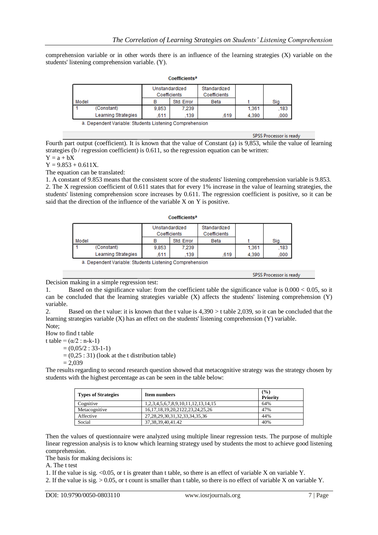comprehension variable or in other words there is an influence of the learning strategies (X) variable on the students' listening comprehension variable. (Y).

|       | COCHILICINS         |                                |            |                              |       |      |  |
|-------|---------------------|--------------------------------|------------|------------------------------|-------|------|--|
|       |                     | Unstandardized<br>Coefficients |            | Standardized<br>Coefficients |       |      |  |
| Model |                     | в                              | Std. Error | <b>Beta</b>                  |       | Sig. |  |
|       | (Constant)          | 9.853                          | 7.239      |                              | 1.361 | 183  |  |
|       | Learning Strategies | 611                            | 139        | 619                          | 4.390 | .000 |  |

Coofficiente?

a. Dependent Variable: Students Listening Comprehension

SPSS Processor is ready

Fourth part output (coefficient). It is known that the value of Constant (a) is 9,853, while the value of learning strategies (b / regression coefficient) is 0.611, so the regression equation can be written:

 $Y = a + bX$ 

 $Y = 9.853 + 0.611X$ .

The equation can be translated:

1. A constant of 9.853 means that the consistent score of the students' listening comprehension variable is 9.853. 2. The X regression coefficient of 0.611 states that for every 1% increase in the value of learning strategies, the students' listening comprehension score increases by 0.611. The regression coefficient is positive, so it can be said that the direction of the influence of the variable X on Y is positive.

|                     | Standardized<br>Unstandardized |            |              |       |      |  |  |
|---------------------|--------------------------------|------------|--------------|-------|------|--|--|
|                     | Coefficients                   |            | Coefficients |       |      |  |  |
| Model               | в                              | Std. Error | <b>Beta</b>  |       | Sig. |  |  |
| (Constant)          | 9,853                          | 7.239      |              | 1.361 | 183  |  |  |
| Learning Strategies | 611                            | 139        | 619          | 4.390 | 000  |  |  |

Coofficiontea

a. Dependent Variable: Students Listening Comprehension

SPSS Processor is ready

Decision making in a simple regression test:

1. Based on the significance value: from the coefficient table the significance value is 0.000 < 0.05, so it can be concluded that the learning strategies variable (X) affects the students' listening comprehension (Y) variable.

2. Based on the t value: it is known that the t value is 4,390 > t table 2,039, so it can be concluded that the learning strategies variable (X) has an effect on the students' listening comprehension (Y) variable. Note;

How to find t table

t table =  $(\alpha/2 : n-k-1)$ 

 $= (0.05/2 : 33-1-1)$ 

 $= (0,25:31)$  (look at the t distribution table)

$$
= 2,039
$$

The results regarding to second research question showed that metacognitive strategy was the strategy chosen by students with the highest percentage as can be seen in the table below:

| <b>Types of Strategies</b> | <b>Item numbers</b>                      | (9/0)<br><b>Priority</b> |
|----------------------------|------------------------------------------|--------------------------|
| Cognitive                  | 1,2,3,4,5,6,7,8,9,10,11,12,13,14,15      | 64%                      |
| Metacognitive              | 16, 17, 18, 19, 20, 2122, 23, 24, 25, 26 | 47%                      |
| Affective                  | 27, 28, 29, 30, 31, 32, 33, 34, 35, 36   | 44%                      |
| Social                     | 37, 38, 39, 40, 41. 42                   | 40%                      |

Then the values of questionnaire were analyzed using multiple linear regression tests. The purpose of multiple linear regression analysis is to know which learning strategy used by students the most to achieve good listening comprehension.

The basis for making decisions is:

A. The t test

1. If the value is sig. <0.05, or t is greater than t table, so there is an effect of variable X on variable Y.

2. If the value is sig. > 0.05, or t count is smaller than t table, so there is no effect of variable X on variable Y.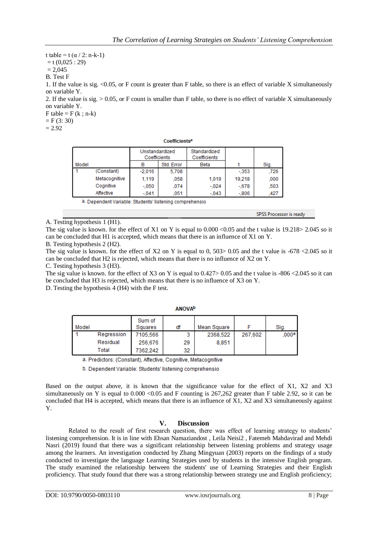t table = t  $(\alpha / 2: n-k-1)$  $=$  t (0,025 : 29)  $= 2.045$ B. Test F 1. If the value is sig.  $\leq 0.05$ , or F count is greater than F table, so there is an effect of variable X simultaneously on variable Y.

2. If the value is sig. > 0.05, or F count is smaller than F table, so there is no effect of variable X simultaneously on variable Y.

 $F$  table =  $F$  (k; n-k)  $=$  F (3: 30)

 $= 2.92$ 

| <b>Coefficients<sup>a</sup></b> |  |  |
|---------------------------------|--|--|

|       |               | Unstandardized<br>Coefficients |            | Standardized<br>Coefficients |        |      |
|-------|---------------|--------------------------------|------------|------------------------------|--------|------|
| Model |               |                                | Std. Error | <b>Beta</b>                  |        | Sig. |
|       | (Constant)    | $-2.016$                       | 5,708      |                              | $-353$ | .726 |
|       | Metacognitive | 1,119                          | 058        | 1.019                        | 19.218 | .000 |
|       | Cognitive     | $-.050$                        | 074        | $-.024$                      | $-678$ | .503 |
|       | Affective     | $-041$                         | 051        | $-.043$                      | $-806$ | .427 |

a. Dependent Variable: Students' listening comprehensio

SPSS Processor is ready

A. Testing hypothesis 1 (H1).

The sig value is known. for the effect of X1 on Y is equal to  $0.000 < 0.05$  and the t value is  $19.218 > 2.045$  so it can be concluded that H1 is accepted, which means that there is an influence of X1 on Y.

B. Testing hypothesis 2 (H2).

The sig value is known. for the effect of X2 on Y is equal to 0, 503> 0.05 and the t value is  $-678$  <2.045 so it can be concluded that H2 is rejected, which means that there is no influence of X2 on Y.

C. Testing hypothesis 3 (H3).

The sig value is known. for the effect of X3 on Y is equal to  $0.427 > 0.05$  and the t value is  $-806 \lt 2.045$  so it can be concluded that H3 is rejected, which means that there is no influence of X3 on Y.

D. Testing the hypothesis 4 (H4) with the F test.

| Model |            | Sum of<br>Squares | df | Mean Square |         | Sig.  |
|-------|------------|-------------------|----|-------------|---------|-------|
|       | Regression | 7105.566          | 3  | 2368.522    | 267,602 | .000ª |
|       | Residual   | 256,676           | 29 | 8.851       |         |       |
|       | Total      | 7362.242          | 32 |             |         |       |

**ANOVA**b

a. Predictors: (Constant), Affective, Cognitive, Metacognitive

b. Dependent Variable: Students' listening comprehensio

Based on the output above, it is known that the significance value for the effect of X1, X2 and X3 simultaneously on Y is equal to  $0.000 \le 0.05$  and F counting is 267,262 greater than F table 2.92, so it can be concluded that H4 is accepted, which means that there is an influence of X1, X2 and X3 simultaneously against Y.

#### **V. Discussion**

Related to the result of first research question, there was effect of learning strategy to students' listening comprehension. It is in line with Ehsan Namaziandost , Leila Neisi2 , Fatemeh Mahdavirad and Mehdi Nasri (2019) found that there was a significant relationship between listening problems and strategy usage among the learners. An investigation conducted by Zhang Mingyuan (2003) reports on the findings of a study conducted to investigate the language Learning Strategies used by students in the intensive English program. The study examined the relationship between the students' use of Learning Strategies and their English proficiency. That study found that there was a strong relationship between strategy use and English proficiency;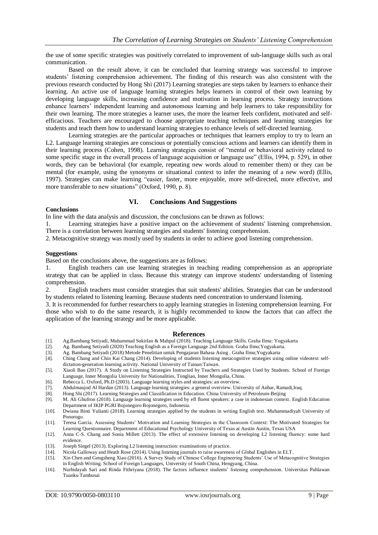the use of some specific strategies was positively correlated to improvement of sub-language skills such as oral communication.

Based on the result above, it can be concluded that learning strategy was successful to improve students' listening comprehension achievement. The finding of this research was also consistent with the previous research conducted by Hong Shi (2017) Learning strategies are steps taken by learners to enhance their learning. An active use of language learning strategies helps learners in control of their own learning by developing language skills, increasing confidence and motivation in learning process. Strategy instructions enhance learners' independent learning and autonomous learning and help learners to take responsibility for their own learning. The more strategies a learner uses, the more the learner feels confident, motivated and selfefficacious. Teachers are encouraged to choose appropriate teaching techniques and learning strategies for students and teach them how to understand learning strategies to enhance levels of self-directed learning.

Learning strategies are the particular approaches or techniques that learners employ to try to learn an L2. Language learning strategies are conscious or potentially conscious actions and learners can identify them in their learning process (Cohen, 1998). Learning strategies consist of "mental or behavioral activity related to some specific stage in the overall process of language acquisition or language use" (Ellis, 1994, p. 529), in other words, they can be behavioral (for example, repeating new words aloud to remember them) or they can be mental (for example, using the synonyms or situational context to infer the meaning of a new word) (Ellis, 1997). Strategies can make learning "easier, faster, more enjoyable, more self-directed, more effective, and more transferable to new situations" (Oxford, 1990, p. 8).

#### **VI. Conclusions And Suggestions**

#### **Conclusions**

In line with the data analysis and discussion, the conclusions can be drawn as follows:

1. Learning strategies have a positive impact on the achievement of students' listening comprehension. There is a correlation between learning strategies and students' listening comprehension*.*

2. Metacognitive strategy was mostly used by students in order to achieve good listening comprehension.

#### **Suggestions**

Based on the conclusions above, the suggestions are as follows:

1. English teachers can use learning strategies in teaching reading comprehension as an appropriate strategy that can be applied in class. Because this strategy can improve students' understanding of listening comprehension.

2. English teachers must consider strategies that suit students' abilities. Strategies that can be understood by students related to listening learning. Because students need concentration to understand listening.

3. It is recommended for further researchers to apply learning strategies in listening comprehension learning. For those who wish to do the same research, it is highly recommended to know the factors that can affect the application of the learning strategy and be more applicable.

#### **References**

- [1]. Ag.Bambang Setiyadi, Muhammad Sukirlan & Mahpul (2018). Teaching Language Skills. Graha Ilmu: Yogyakarta
- [2]. Ag. Bambang Setiyadi (2020) Teaching English as a Foreign Language 2nd Edition. Graha Ilmu;Yogyakarta.
- [3]. Ag. Bambang Setiyadi (2018) Metode Penelitian untuk Pengajaran Bahasa Asing . Graha Ilmu;Yogyakarta
- [4]. Ching Chang and Chin Kai Chang (2014). Developing of students listening metacognitive strategies using online videotext selfdictation-generation learning activity. National University of Tainan:Taiwan.
- [5]. Xiaoli Bao (2017). A Study on Listening Strategies Instructed by Teachers and Strategies Used by Students. School of Foreign Language, Inner Mongolia University for Nationalities, Tongliao, Inner Mongolia, China.
- [6]. Rebecca L. Oxford, Ph.D (2003). Language learning styles and strategies: an overview.
- [7]. Abdulmaujod Al Hardan (2013). Language learning strategies: a general overview. University of Anbar, Ramadi,Iraq.
- [8]. Hong Shi (2017). Learning Strategies and Classification in Education. China University of Petroleum-Beijing
- [9]. M. Ali Ghufron (2018). Language learning strategies used by efl fluent speakers: a case in indonesian context. English Education Department of IKIP PGRI Bojonegoro Bojonegoro, Indonesia.
- [10]. Dwiana Binti Yulianti (2018). Learning strategies applied by the students in writing English text. Muhammadiyah University of Ponorogo.
- [11]. Teresa Garcia. Assessing Students' Motivation and Learning Strategies in the Classroom Context: The Motivated Strategies for Learning Questionnaire. Department of Educational Psychology University of Texas at Austin Austin, Texas USA
- [12]. Anna C-S. Chang and Sonia Millett (2013). The effect of extensive listening on developing L2 listening fluency: some hard evidence.
- [13]. Joseph Siegel (2013). Exploring L2 listening instruction: examinations of practice.
- [14]. Nicola Galloway and Heath Rose (2014). Using listening journals to raise awareness of Global Englishes in ELT.
- [15]. Xin Chen and Gengsheng Xiao (2016). A Survey Study of Chinese College Engineering Students' Use of Metacognitive Strategies in English Writing. School of Foreign Languages, University of South China, Hengyang, China.
- [16]. Nurhidayah Sari and Rinda Fithriyana (2018). The factors influence students' listening comprehension. Universitas Pahlawan Tuanku Tambusai